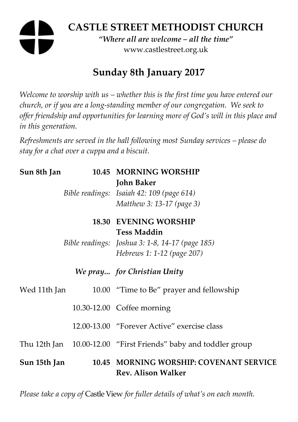# **CASTLE STREET METHODIST CHURCH**

*"Where all are welcome – all the time"*  www.castlestreet.org.uk

# **Sunday 8th January 2017**

*Welcome to worship with us – whether this is the first time you have entered our church, or if you are a long-standing member of our congregation. We seek to offer friendship and opportunities for learning more of God's will in this place and in this generation.* 

*Refreshments are served in the hall following most Sunday services – please do stay for a chat over a cuppa and a biscuit.* 

| Sun 8th Jan  |  | 10.45 MORNING WORSHIP                                                |
|--------------|--|----------------------------------------------------------------------|
|              |  | <b>John Baker</b>                                                    |
|              |  | Bible readings: Isaiah 42: 109 (page 614)                            |
|              |  | Matthew 3: 13-17 (page 3)                                            |
|              |  | <b>18.30 EVENING WORSHIP</b>                                         |
|              |  | <b>Tess Maddin</b>                                                   |
|              |  | Bible readings: Joshua 3: 1-8, 14-17 (page 185)                      |
|              |  | Hebrews 1: 1-12 (page 207)                                           |
|              |  | We pray for Christian Unity                                          |
| Wed 11th Jan |  | 10.00 "Time to Be" prayer and fellowship                             |
|              |  | 10.30-12.00 Coffee morning                                           |
|              |  | 12.00-13.00 "Forever Active" exercise class                          |
|              |  | Thu 12th Jan 10.00-12.00 "First Friends" baby and toddler group      |
| Sun 15th Jan |  | 10.45 MORNING WORSHIP: COVENANT SERVICE<br><b>Rev. Alison Walker</b> |

*Please take a copy of* Castle View *for fuller details of what's on each month.*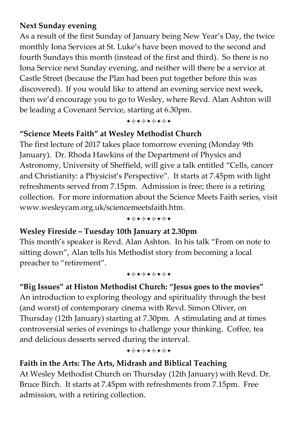# **Next Sunday evening**

As a result of the first Sunday of January being New Year's Day, the twice monthly Iona Services at St. Luke's have been moved to the second and fourth Sundays this month (instead of the first and third). So there is no Iona Service next Sunday evening, and neither will there be a service at Castle Street (because the Plan had been put together before this was discovered). If you would like to attend an evening service next week, then we'd encourage you to go to Wesley, where Revd. Alan Ashton will be leading a Covenant Service, starting at 6.30pm.

+\*\*\*\*\*\*\*

## **"Science Meets Faith" at Wesley Methodist Church**

The first lecture of 2017 takes place tomorrow evening (Monday 9th January). Dr. Rhoda Hawkins of the Department of Physics and Astronomy, University of Sheffield, will give a talk entitled "Cells, cancer and Christianity: a Physicist's Perspective". It starts at 7.45pm with light refreshments served from 7.15pm. Admission is free; there is a retiring collection. For more information about the Science Meets Faith series, visit www.wesleycam.org.uk/sciencemeetsfaith.htm.

+\*\*\*\*\*\*\*

### **Wesley Fireside – Tuesday 10th January at 2.30pm**

This month's speaker is Revd. Alan Ashton. In his talk "From on note to sitting down", Alan tells his Methodist story from becoming a local preacher to "retirement".

#### +\*\*\*\*\*\*\*

**"Big Issues" at Histon Methodist Church: "Jesus goes to the movies"**  An introduction to exploring theology and spirituality through the best (and worst) of contemporary cinema with Revd. Simon Oliver, on Thursday (12th January) starting at 7.30pm. A stimulating and at times controversial series of evenings to challenge your thinking. Coffee, tea and delicious desserts served during the interval.

+\*\*\*\*\*\*\*

# **Faith in the Arts: The Arts, Midrash and Biblical Teaching**

At Wesley Methodist Church on Thursday (12th January) with Revd. Dr. Bruce Birch. It starts at 7.45pm with refreshments from 7.15pm. Free admission, with a retiring collection.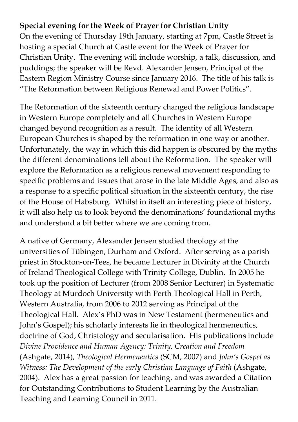# **Special evening for the Week of Prayer for Christian Unity**

On the evening of Thursday 19th January, starting at 7pm, Castle Street is hosting a special Church at Castle event for the Week of Prayer for Christian Unity. The evening will include worship, a talk, discussion, and puddings; the speaker will be Revd. Alexander Jensen, Principal of the Eastern Region Ministry Course since January 2016. The title of his talk is "The Reformation between Religious Renewal and Power Politics".

The Reformation of the sixteenth century changed the religious landscape in Western Europe completely and all Churches in Western Europe changed beyond recognition as a result. The identity of all Western European Churches is shaped by the reformation in one way or another. Unfortunately, the way in which this did happen is obscured by the myths the different denominations tell about the Reformation. The speaker will explore the Reformation as a religious renewal movement responding to specific problems and issues that arose in the late Middle Ages, and also as a response to a specific political situation in the sixteenth century, the rise of the House of Habsburg. Whilst in itself an interesting piece of history, it will also help us to look beyond the denominations' foundational myths and understand a bit better where we are coming from.

A native of Germany, Alexander Jensen studied theology at the universities of Tübingen, Durham and Oxford. After serving as a parish priest in Stockton-on-Tees, he became Lecturer in Divinity at the Church of Ireland Theological College with Trinity College, Dublin. In 2005 he took up the position of Lecturer (from 2008 Senior Lecturer) in Systematic Theology at Murdoch University with Perth Theological Hall in Perth, Western Australia, from 2006 to 2012 serving as Principal of the Theological Hall. Alex's PhD was in New Testament (hermeneutics and John's Gospel); his scholarly interests lie in theological hermeneutics, doctrine of God, Christology and secularisation. His publications include *Divine Providence and Human Agency: Trinity, Creation and Freedom* (Ashgate, 2014), *Theological Hermeneutics* (SCM, 2007) and *John's Gospel as Witness: The Development of the early Christian Language of Faith* (Ashgate, 2004). Alex has a great passion for teaching, and was awarded a Citation for Outstanding Contributions to Student Learning by the Australian Teaching and Learning Council in 2011.